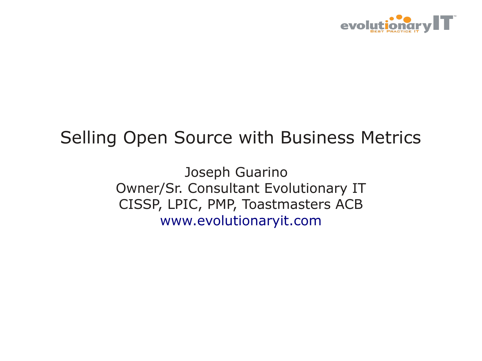

### Selling Open Source with Business Metrics

Joseph Guarino Owner/Sr. Consultant Evolutionary IT CISSP, LPIC, PMP, Toastmasters ACB [www.evolutionaryit.com](http://www.evolutionaryit.com/)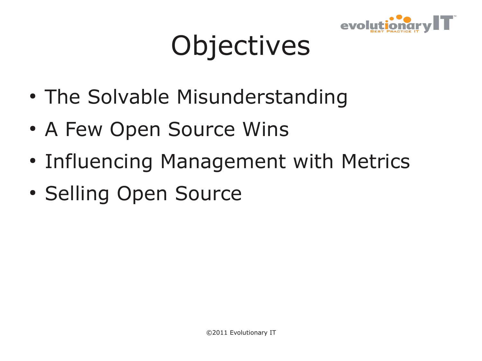

# **Objectives**

- The Solvable Misunderstanding
- A Few Open Source Wins
- Influencing Management with Metrics
- Selling Open Source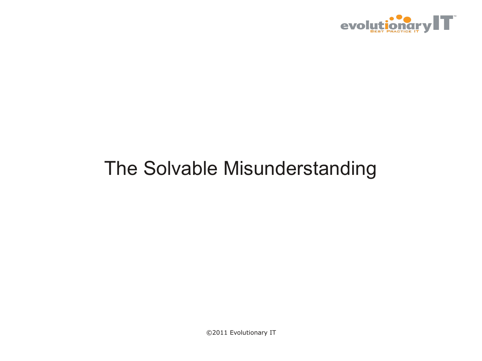

### The Solvable Misunderstanding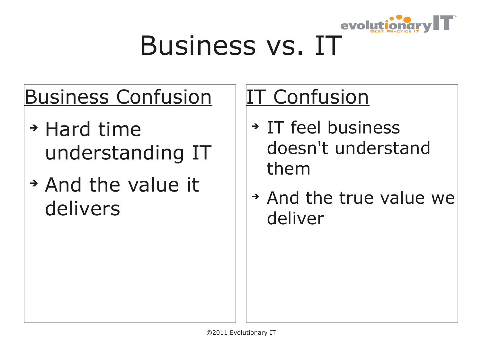

# Business vs. IT

### Business Confusion

- ➔ Hard time understanding IT
- ➔ And the value it delivers

### IT Confusion

- ➔ IT feel business doesn't understand them
- ➔ And the true value we deliver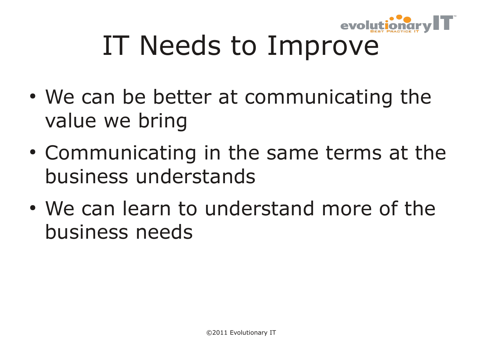

# IT Needs to Improve

- We can be better at communicating the value we bring
- Communicating in the same terms at the business understands
- We can learn to understand more of the business needs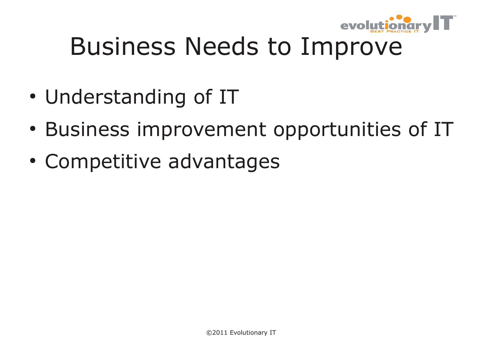

### Business Needs to Improve

- Understanding of IT
- Business improvement opportunities of IT
- Competitive advantages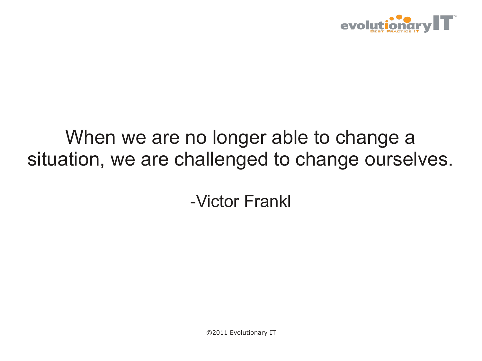

### When we are no longer able to change a situation, we are challenged to change ourselves.

-Victor Frankl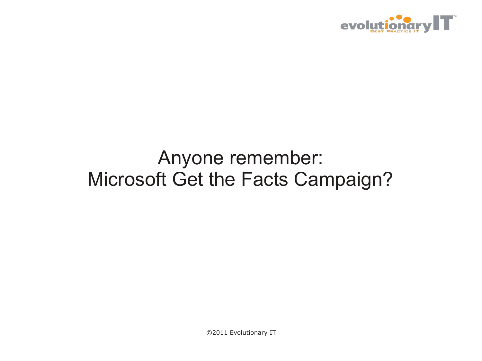

### Anyone remember: Microsoft Get the Facts Campaign?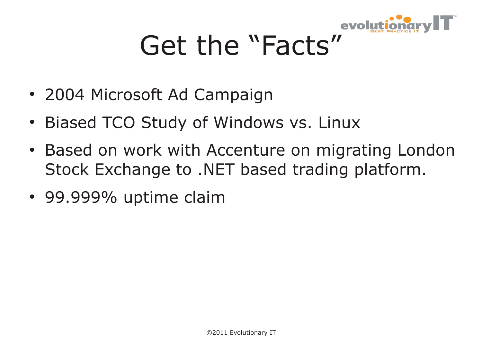

# Get the "Facts"

- 2004 Microsoft Ad Campaign
- Biased TCO Study of Windows vs. Linux
- Based on work with Accenture on migrating London Stock Exchange to .NET based trading platform.
- 99.999% uptime claim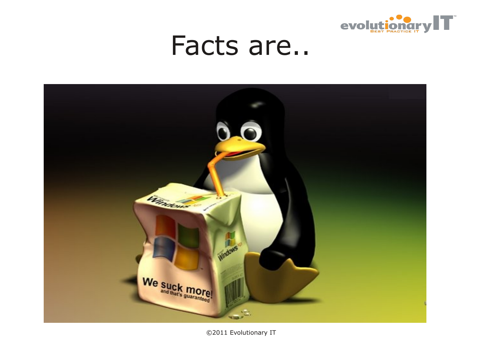

### Facts are..

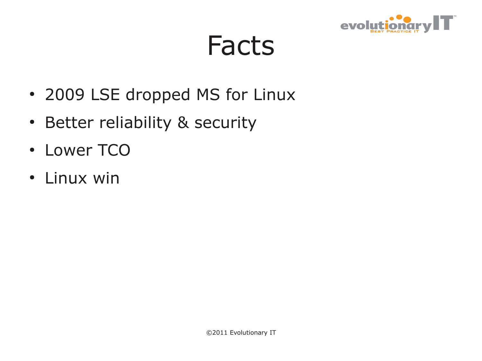

### Facts

- 2009 LSE dropped MS for Linux
- Better reliability & security
- Lower TCO
- Linux win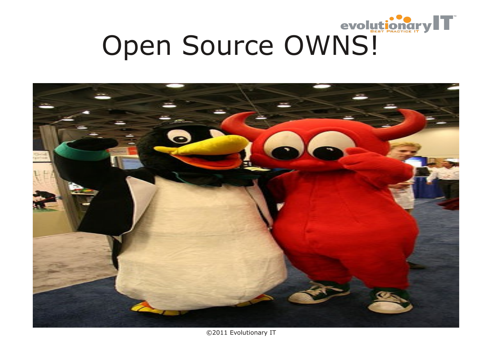

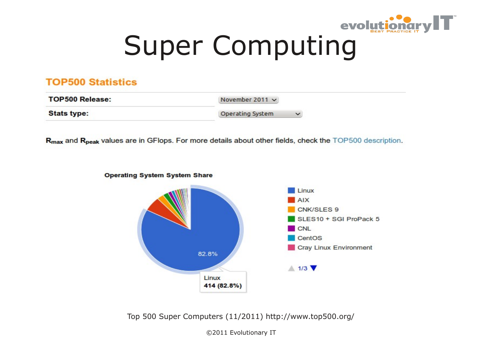

# Super Computing

### **TOP500 Statistics**

| <b>TOP500 Release:</b> | November 2011 $\sim$ |              |
|------------------------|----------------------|--------------|
| <b>Stats type:</b>     | Operating System     | $\checkmark$ |

R<sub>max</sub> and R<sub>peak</sub> values are in GFlops. For more details about other fields, check the TOP500 description.



**Operating System System Share** 

Top 500 Super Computers (11/2011) http://www.top500.org/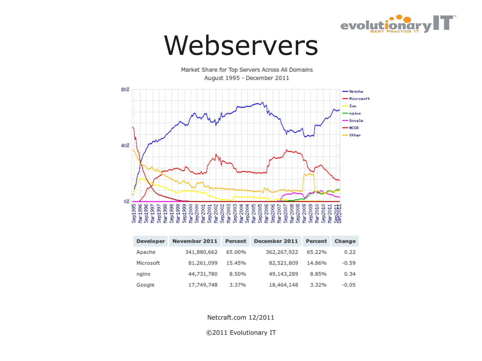

### Webservers

Market Share for Top Servers Across All Domains August 1995 - December 2011



| <b>Developer</b> | November 2011 | Percent | December 2011 | Percent | <b>Change</b> |
|------------------|---------------|---------|---------------|---------|---------------|
| Apache           | 341,880,662   | 65.00%  | 362,267,922   | 65.22%  | 0.22          |
| Microsoft        | 81,261,099    | 15.45%  | 82,521,809    | 14.86%  | $-0.59$       |
| nginx            | 44,731,780    | 8.50%   | 49,143,289    | 8.85%   | 0.34          |
| Google           | 17,749,748    | 3.37%   | 18,464,148    | 3.32%   | $-0.05$       |

Netcraft.com 12/2011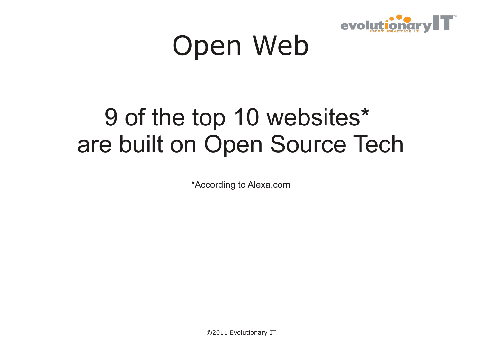

# Open Web

### 9 of the top 10 websites\* are built on Open Source Tech

\*According to Alexa.com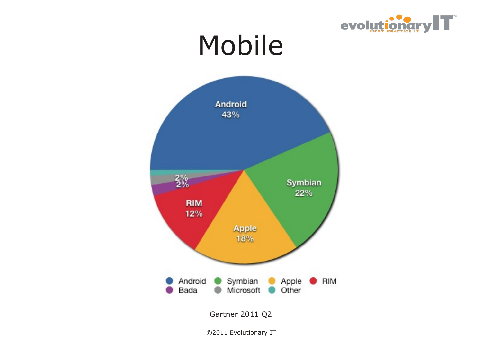

### Mobile

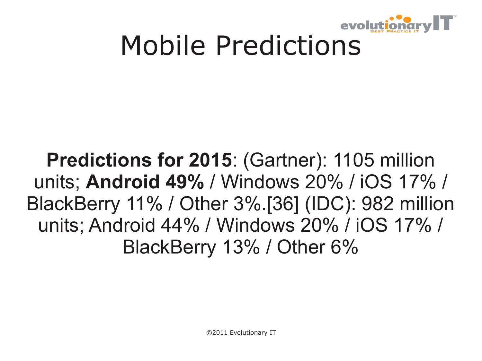

# Mobile Predictions

### **Predictions for 2015**: (Gartner): 1105 million units; **Android 49%** / Windows 20% / iOS 17% / BlackBerry 11% / Other 3%.[36] (IDC): 982 million units; Android 44% / Windows 20% / iOS 17% / BlackBerry 13% / Other 6%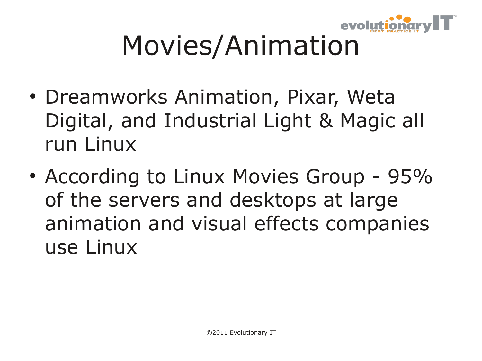

# Movies/Animation

- Dreamworks Animation, Pixar, Weta Digital, and Industrial Light & Magic all run Linux
- According to Linux Movies Group 95% of the servers and desktops at large animation and visual effects companies use Linux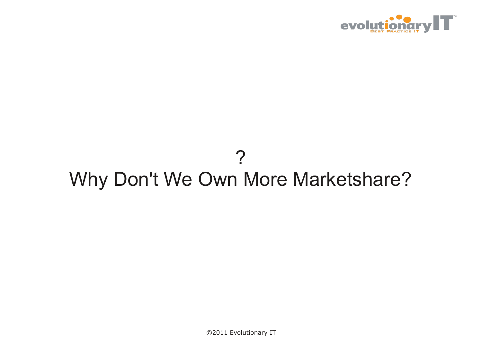

### ? Why Don't We Own More Marketshare?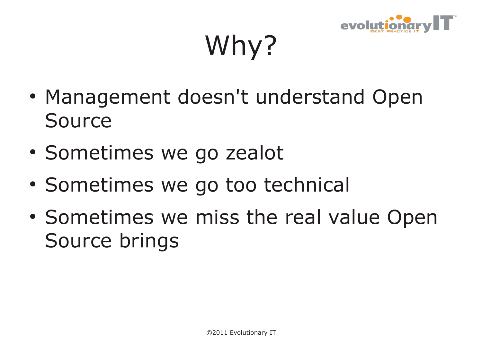

Why?

- Management doesn't understand Open Source
- Sometimes we go zealot
- Sometimes we go too technical
- Sometimes we miss the real value Open Source brings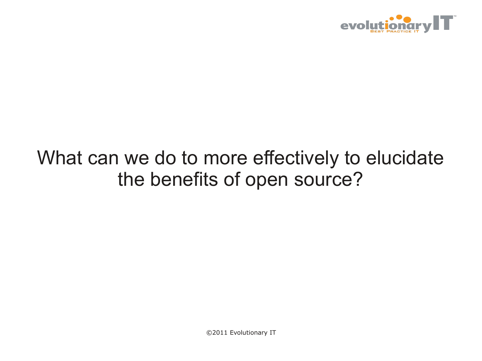

### What can we do to more effectively to elucidate the benefits of open source?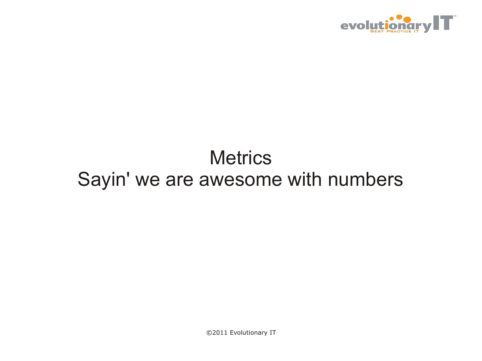

### **Metrics** Sayin' we are awesome with numbers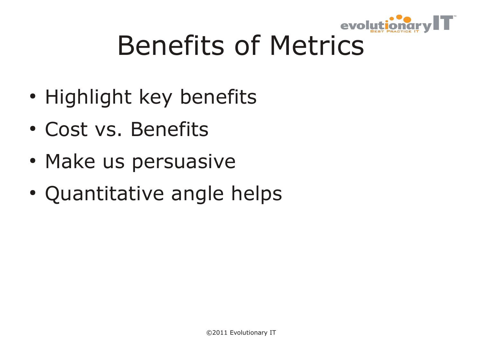

# Benefits of Metrics

- Highlight key benefits
- Cost vs. Benefits
- Make us persuasive
- Quantitative angle helps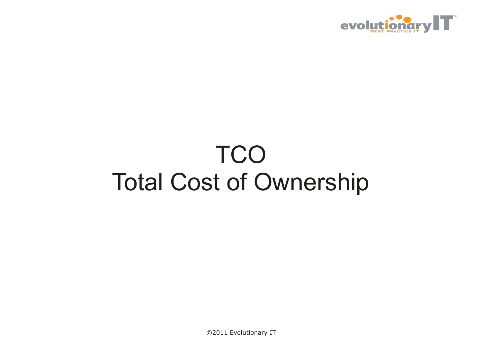

### **TCO** Total Cost of Ownership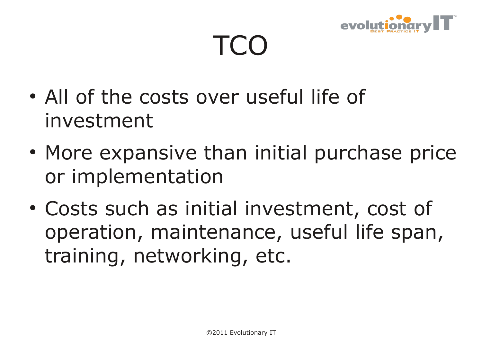

## TCO

- All of the costs over useful life of investment
- More expansive than initial purchase price or implementation
- Costs such as initial investment, cost of operation, maintenance, useful life span, training, networking, etc.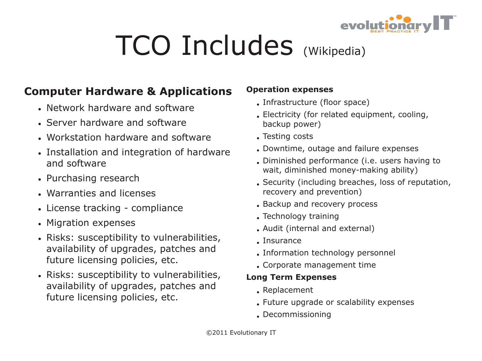

# TCO Includes (Wikipedia)

### **Computer Hardware & Applications**

- Network hardware and software
- Server hardware and software
- Workstation hardware and software
- Installation and integration of hardware and software
- Purchasing research
- Warranties and licenses
- License tracking compliance
- Migration expenses
- Risks: susceptibility to vulnerabilities, availability of upgrades, patches and future licensing policies, etc.
- Risks: susceptibility to vulnerabilities, availability of upgrades, patches and future licensing policies, etc.

### **Operation expenses**

- . Infrastructure (floor space)
- . Electricity (for related equipment, cooling, backup power)
- . Testing costs
- . Downtime, outage and failure expenses
- . Diminished performance (i.e. users having to wait, diminished money-making ability)
- . Security (including breaches, loss of reputation, recovery and prevention)
- . Backup and recovery process
- . Technology training
- Audit (internal and external)
- Insurance
- . Information technology personnel
- . Corporate management time

### **Long Term Expenses**

- $\bullet$  Replacement
- . Future upgrade or scalability expenses
- . Decommissioning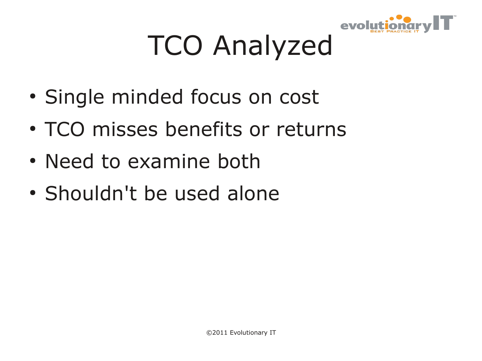

# TCO Analyzed

- Single minded focus on cost
- TCO misses benefits or returns
- Need to examine both
- Shouldn't be used alone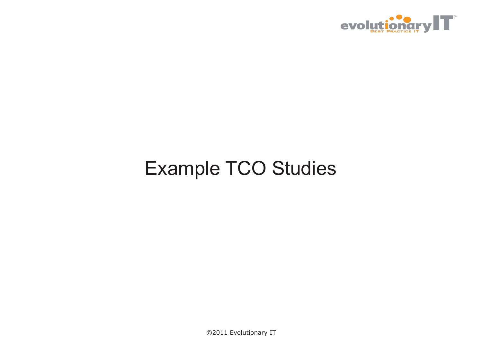

### Example TCO Studies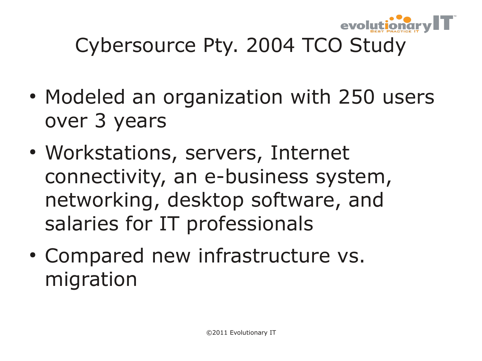

### Cybersource Pty. 2004 TCO Study

- Modeled an organization with 250 users over 3 years
- Workstations, servers, Internet connectivity, an e-business system, networking, desktop software, and salaries for IT professionals
- Compared new infrastructure vs. migration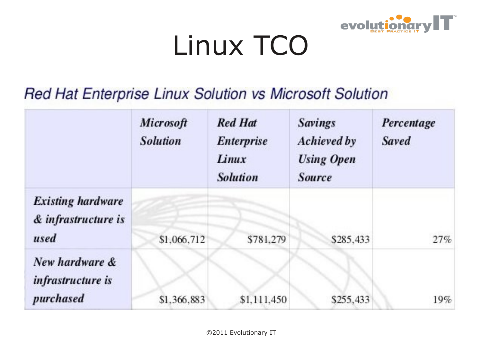

# Linux TCO

### Red Hat Enterprise Linux Solution vs Microsoft Solution

|                                                         | Microsoft<br><b>Solution</b> | <b>Red Hat</b><br><b>Enterprise</b><br>Linux<br><b>Solution</b> | <b>Savings</b><br><b>Achieved by</b><br><b>Using Open</b><br><b>Source</b> | Percentage<br><b>Saved</b> |
|---------------------------------------------------------|------------------------------|-----------------------------------------------------------------|----------------------------------------------------------------------------|----------------------------|
| <b>Existing hardware</b><br>& infrastructure is<br>used | \$1,066,712                  | \$781,279                                                       | \$285,433                                                                  | 27%                        |
| New hardware &<br>infrastructure is<br>purchased        | \$1,366,883                  | \$1,111,450                                                     | \$255,433                                                                  | 19%                        |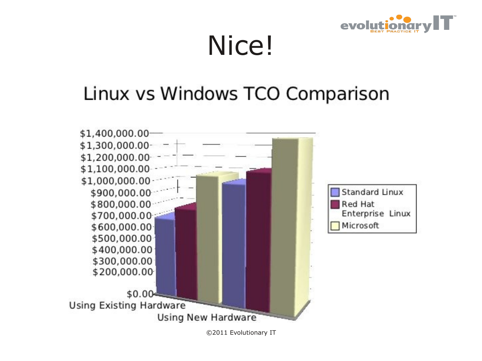

### Nice!

### Linux vs Windows TCO Comparison

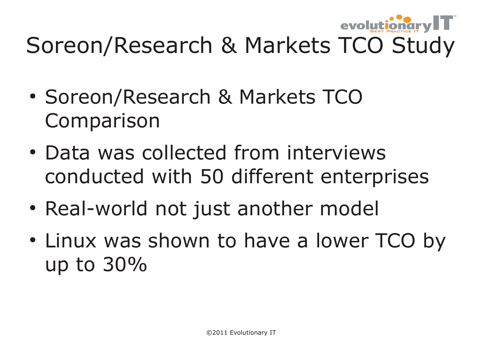

### Soreon/Research & Markets TCO Study

- Soreon/Research & Markets TCO Comparison
- Data was collected from interviews conducted with 50 different enterprises
- Real-world not just another model
- Linux was shown to have a lower TCO by up to 30%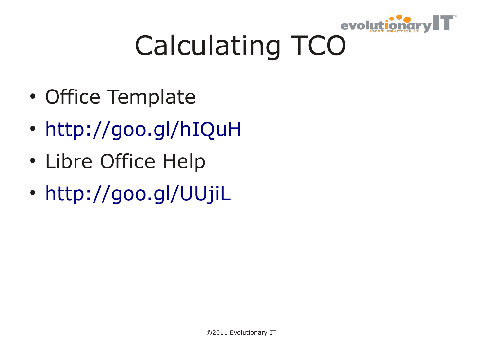

# Calculating TCO

- Office Template
- <http://goo.gl/hIQuH>
- Libre Office Help
- <http://goo.gl/UUjiL>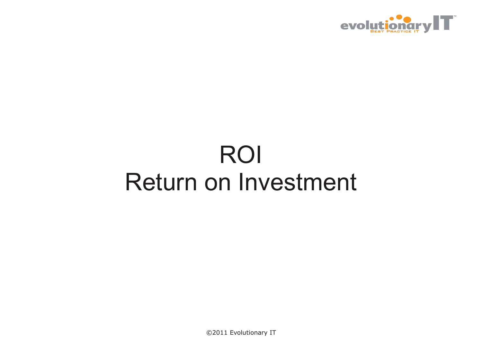

### ROI Return on Investment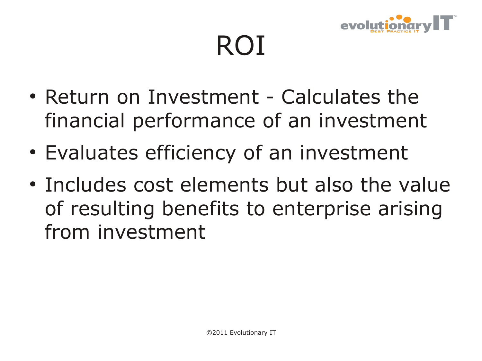

ROI

- $\bullet$  Return on Investment Calculates the financial performance of an investment
- Evaluates efficiency of an investment
- Includes cost elements but also the value of resulting benefits to enterprise arising from investment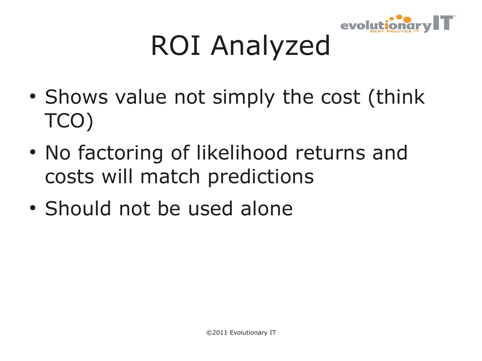

# ROI Analyzed

- Shows value not simply the cost (think TCO)
- No factoring of likelihood returns and costs will match predictions
- Should not be used alone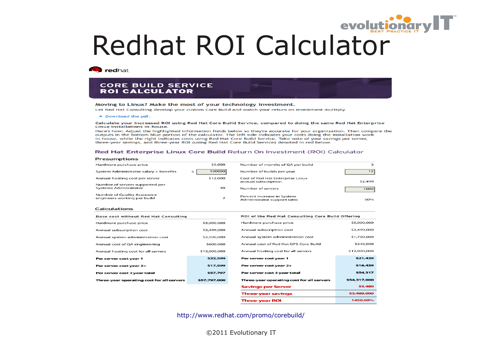# Redhat ROI Calculator

**Redhat** 

### **CORE BUILD SERVICE ROI CALCULATOR**

### Moving to Linux? Make the most of your technology investment.

Let Red Hat Consulting develop your custom Core Build and watch your return on investment multiply.

+ Download the pdf.

### Calculate your increased ROI using Red Hat Core Build Service, compared to doing the same Red Hat Enterprise **Linux installations in-house.**

Here's how: Adjust the highlighted information fields below so they're accurate for your organization. Then compare the outputs in the bottom blue portion of the calculator. The left side indicates your costs doing the installation work in-house, while the right indicates costs using Red Hat Core Build Service. Take note of your savings per server, three-year savings, and three-year ROI (using Red Hat Core Build Service) denoted in red below.

### Red Hat Enterprise Linux Core Build Return On Investment (ROI) Calculator

### **Presumptions**

| Hardware purchase price                                         | \$5,000  | Number of months of QA per build                          | з               |
|-----------------------------------------------------------------|----------|-----------------------------------------------------------|-----------------|
| System Administrator salary + benefits                          | 100000   | Number of builds per year                                 | 12 <sub>1</sub> |
| Annual hosting cost per server                                  | \$12,000 | Cost of Red Hat Enterprise Linux<br>annual subscription   | \$2,499         |
| Number of servers supported per<br><b>Systems Administrator</b> | 40       | Number of servers                                         | 1000            |
| Number of Quality Assurance<br>engineers working per build      | 2        | Percent increase in System<br>Administrator support ratio | 50%             |

### **Calculations**

| <b>Base cost without Red Hat Consulting</b> |              |  |  |
|---------------------------------------------|--------------|--|--|
| Hardware purchase price                     | \$5,000,000  |  |  |
| Annual subscription cost                    | \$2,499,000  |  |  |
| Annual system administration cost           | \$2,500,000  |  |  |
| Annual cost of QA engineering               | \$600,000    |  |  |
| Annual hosting cost for all servers         | \$12,000,000 |  |  |
| Per server cost year 1                      | \$22,599     |  |  |
| Per server cost year 2+                     | \$17,599     |  |  |
| Per server cost 3 year total                | \$57.797     |  |  |
| Three-year operating cost for all servers   | \$57,797,000 |  |  |
|                                             |              |  |  |

| ROI of the Red Hat Consulting Core Build Offering |              |  |  |  |
|---------------------------------------------------|--------------|--|--|--|
| Hardware purchase price                           | \$5,000,000  |  |  |  |
| Annual subscription cost                          | \$2,499,000  |  |  |  |
| Annual system administration cost                 | \$1,700,000  |  |  |  |
| Annual cost of Red Hat GPS Core Build             | \$240,000    |  |  |  |
| Annual hosting cost for all servers               | \$12,000,000 |  |  |  |
| Per server cost year 1                            | \$21,439     |  |  |  |
| Per server cost year 2+                           | \$16,439     |  |  |  |
| Per server cost 3 year total                      | \$54.317     |  |  |  |
| Three-year operating cost for all servers         | \$54,317,000 |  |  |  |
| <b>Savings per Server</b>                         | \$3,480      |  |  |  |
| <b>Three-year savings</b>                         | \$3,480,000  |  |  |  |
| <b>Three-year ROI</b>                             | 1450.00%     |  |  |  |

<http://www.redhat.com/promo/corebuild/>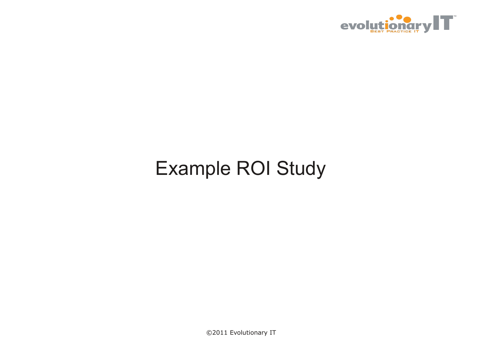

### Example ROI Study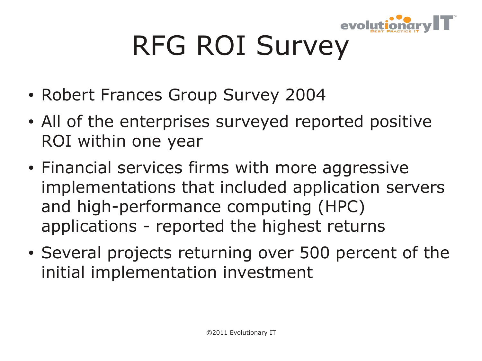

# RFG ROI Survey

- Robert Frances Group Survey 2004
- All of the enterprises surveyed reported positive ROI within one year
- Financial services firms with more aggressive implementations that included application servers and high-performance computing (HPC) applications - reported the highest returns
- Several projects returning over 500 percent of the initial implementation investment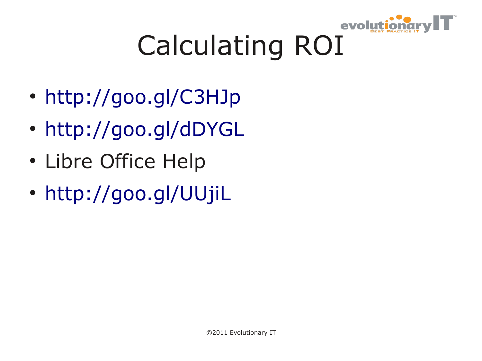

# Calculating ROI

- <http://goo.gl/C3HJp>
- <http://goo.gl/dDYGL>
- Libre Office Help
- <http://goo.gl/UUjiL>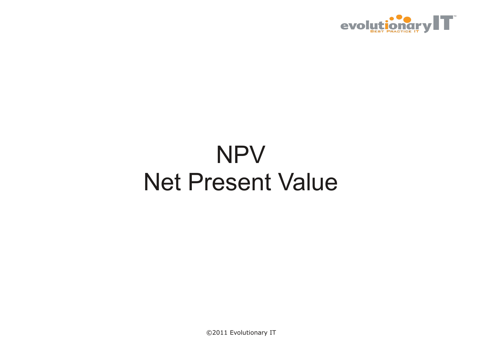

### NPV Net Present Value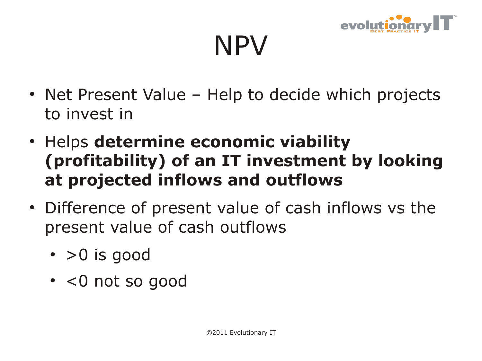

NPV

- Net Present Value Help to decide which projects to invest in
- **Helps determine economic viability (profitability) of an IT investment by looking at projected inflows and outflows**
- Difference of present value of cash inflows vs the present value of cash outflows
	- $\cdot$  >0 is good
	- $\cdot$  <0 not so good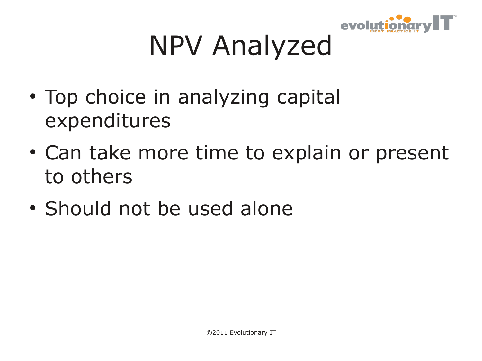

# NPV Analyzed

- Top choice in analyzing capital expenditures
- Can take more time to explain or present to others
- Should not be used alone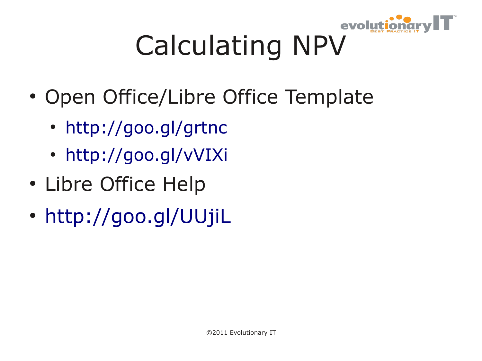

# Calculating NPV

- Open Office/Libre Office Template
	- <http://goo.gl/grtnc>
	- <http://goo.gl/vVIXi>
- Libre Office Help
- <http://goo.gl/UUjiL>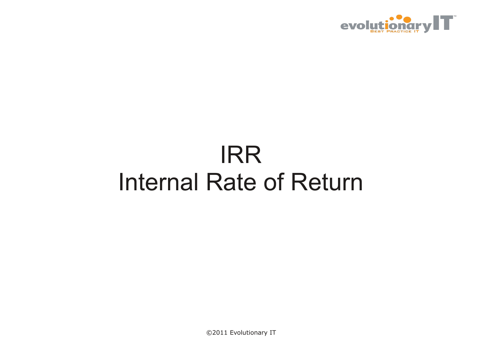

### IRR Internal Rate of Return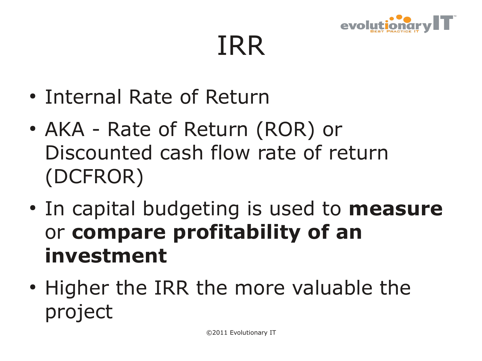

IRR

- Internal Rate of Return
- AKA Rate of Return (ROR) or Discounted cash flow rate of return (DCFROR)
- In capital budgeting is used to **measure** or **compare profitability of an investment**
- Higher the IRR the more valuable the project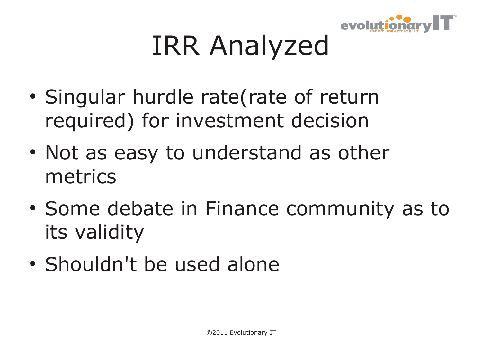

# IRR Analyzed

- Singular hurdle rate(rate of return required) for investment decision
- Not as easy to understand as other metrics
- Some debate in Finance community as to its validity
- Shouldn't be used alone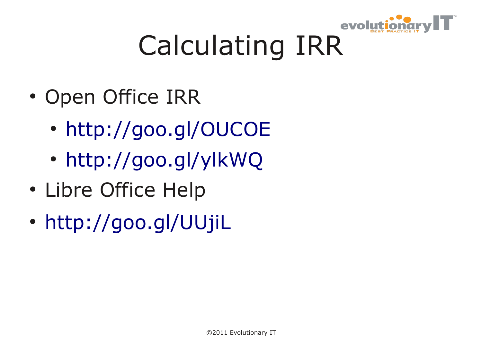

# Calculating IRR

- Open Office IRR
	- <http://goo.gl/OUCOE>
	- <http://goo.gl/ylkWQ>
- Libre Office Help
- <http://goo.gl/UUjiL>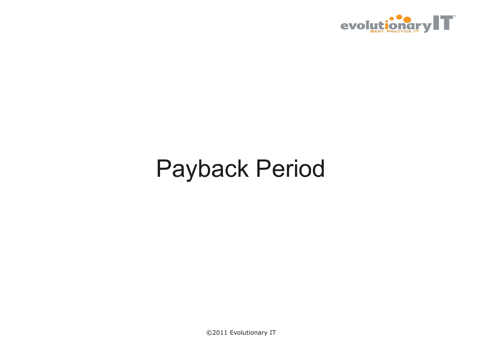

### Payback Period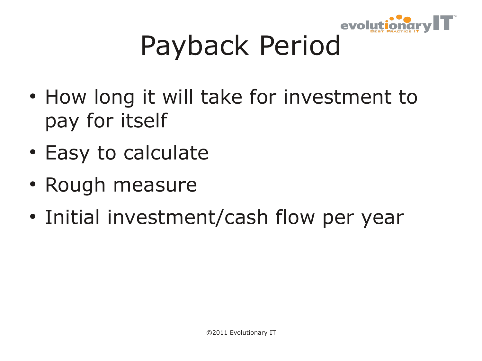

# Payback Period

- How long it will take for investment to pay for itself
- Easy to calculate
- Rough measure
- Initial investment/cash flow per year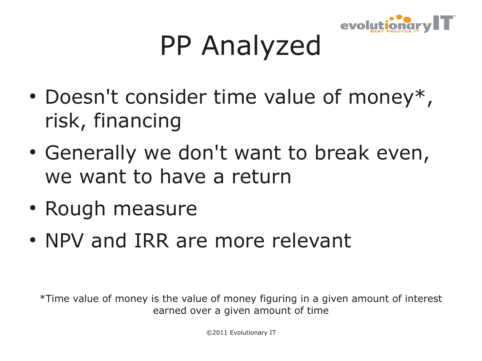

# PP Analyzed

- Doesn't consider time value of money\*, risk, financing
- Generally we don't want to break even, we want to have a return
- Rough measure
- NPV and IRR are more relevant

\*Time value of money is the value of money figuring in a given amount of interest earned over a given amount of time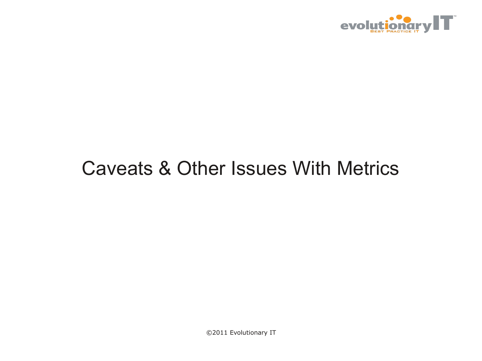

### Caveats & Other Issues With Metrics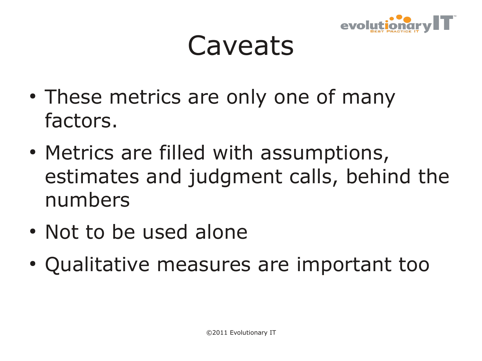

### **Caveats**

- These metrics are only one of many factors.
- Metrics are filled with assumptions, estimates and judgment calls, behind the numbers
- Not to be used alone
- Qualitative measures are important too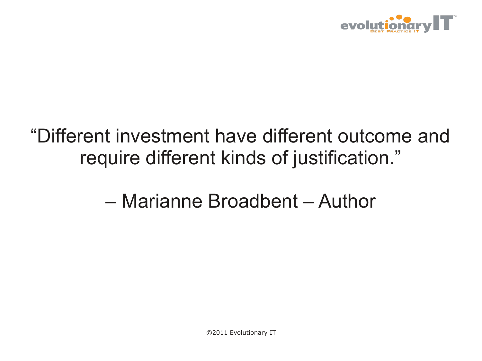

### "Different investment have different outcome and require different kinds of justification."

### – Marianne Broadbent – Author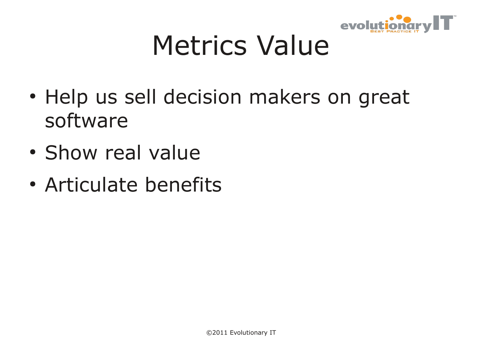

# Metrics Value

- Help us sell decision makers on great software
- Show real value
- Articulate benefits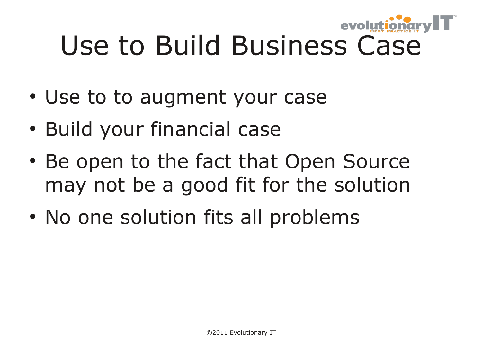

- Use to to augment your case
- Build your financial case
- Be open to the fact that Open Source may not be a good fit for the solution
- No one solution fits all problems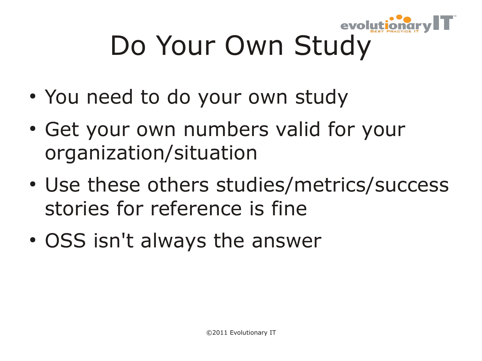

# Do Your Own Study

- You need to do your own study
- Get your own numbers valid for your organization/situation
- Use these others studies/metrics/success stories for reference is fine
- OSS isn't always the answer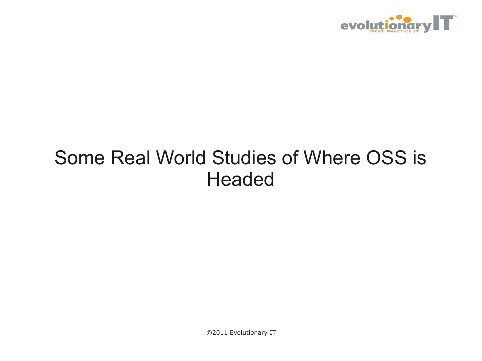

### Some Real World Studies of Where OSS is **Headed**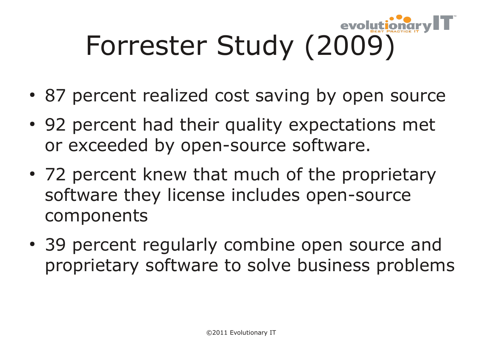

- 87 percent realized cost saving by open source
- 92 percent had their quality expectations met or exceeded by open-source software.
- 72 percent knew that much of the proprietary software they license includes open-source components
- 39 percent regularly combine open source and proprietary software to solve business problems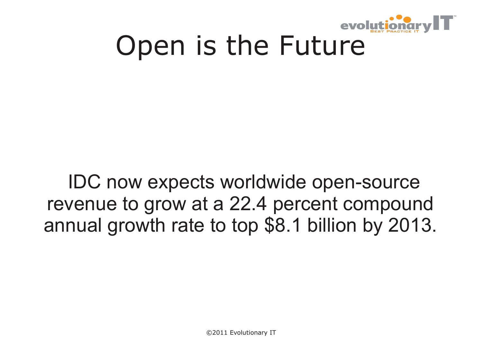

# Open is the Future

### IDC now expects worldwide open-source revenue to grow at a 22.4 percent compound annual growth rate to top \$8.1 billion by 2013.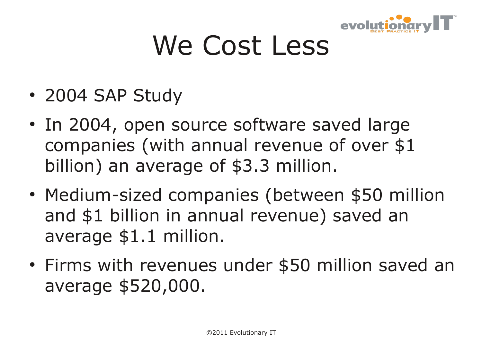

# We Cost Less

- 2004 SAP Study
- In 2004, open source software saved large companies (with annual revenue of over \$1 billion) an average of \$3.3 million.
- Medium-sized companies (between \$50 million and \$1 billion in annual revenue) saved an average \$1.1 million.
- Firms with revenues under \$50 million saved an average \$520,000.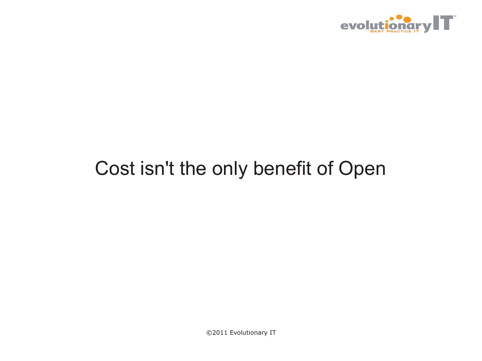

### Cost isn't the only benefit of Open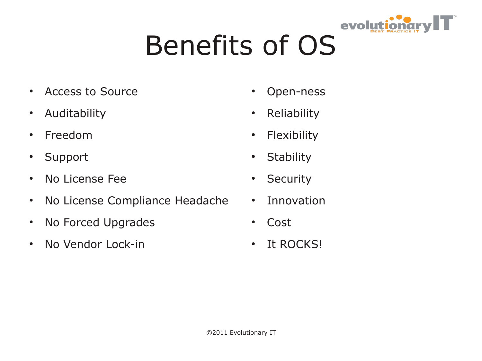

# Benefits of OS

- Access to Source
- Auditability
- Freedom
- Support
- No License Fee
- No License Compliance Headache
- No Forced Upgrades
- No Vendor Lock-in
- Open-ness
- Reliability
- Flexibility
- Stability
- Security
- Innovation
- Cost
- It ROCKS!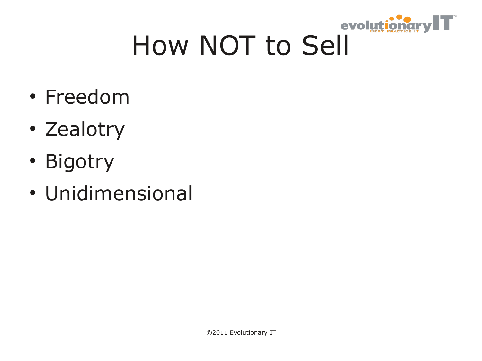

# How NOT to Sell

- Freedom
- Zealotry
- Bigotry
- Unidimensional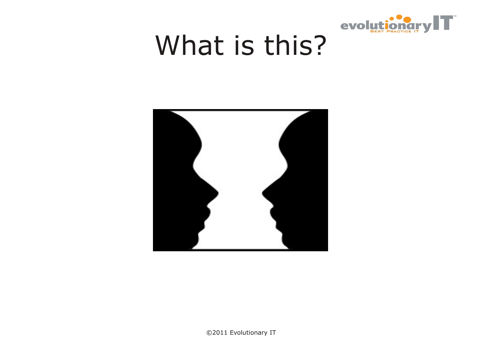

# What is this?

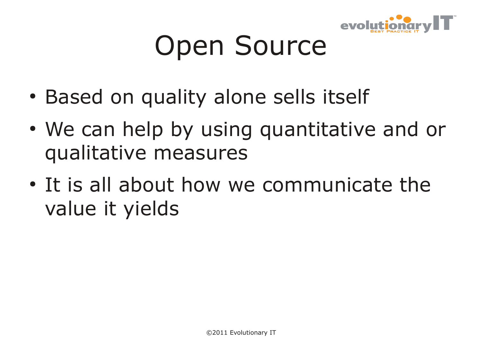

# Open Source

- Based on quality alone sells itself
- We can help by using quantitative and or qualitative measures
- It is all about how we communicate the value it yields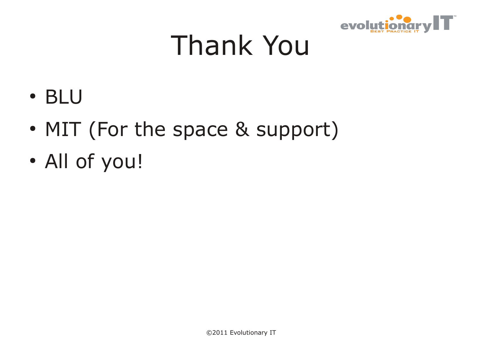

## Thank You

- BLU
- MIT (For the space & support)
- All of you!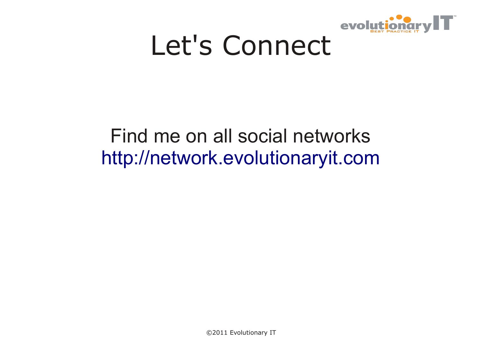

## Let's Connect

### Find me on all social networks [http://network.evolutionaryit.com](http://network.evolutionaryit.com/)